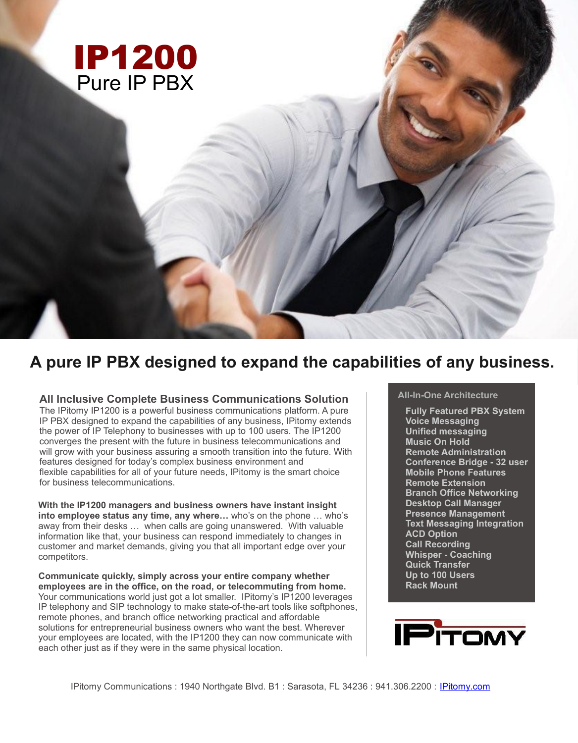

# **A pure IP PBX designed to expand the capabilities of any business.**

## **All Inclusive Complete Business Communications Solution**

The IPitomy IP1200 is a powerful business communications platform. A pure IP PBX designed to expand the capabilities of any business, IPitomy extends the power of IP Telephony to businesses with up to 100 users. The IP1200 converges the present with the future in business telecommunications and will grow with your business assuring a smooth transition into the future. With features designed for today's complex business environment and flexible capabilities for all of your future needs, IPitomy is the smart choice for business telecommunications.

**With the IP1200 managers and business owners have instant insight into employee status any time, any where…** who's on the phone … who's away from their desks … when calls are going unanswered. With valuable information like that, your business can respond immediately to changes in customer and market demands, giving you that all important edge over your competitors.

**Communicate quickly, simply across your entire company whether employees are in the office, on the road, or telecommuting from home.** Your communications world just got a lot smaller. IPitomy's IP1200 leverages IP telephony and SIP technology to make state-of-the-art tools like softphones, remote phones, and branch office networking practical and affordable solutions for entrepreneurial business owners who want the best. Wherever your employees are located, with the IP1200 they can now communicate with each other just as if they were in the same physical location.

## **All-In-One Architecture**

**Fully Featured PBX System Voice Messaging Unified messaging Music On Hold Remote Administration Conference Bridge - 32 user Mobile Phone Features Remote Extension Branch Office Networking Desktop Call Manager Presence Management Text Messaging Integration ACD Option Call Recording Whisper - Coaching Quick Transfer Up to 100 Users Rack Mount**